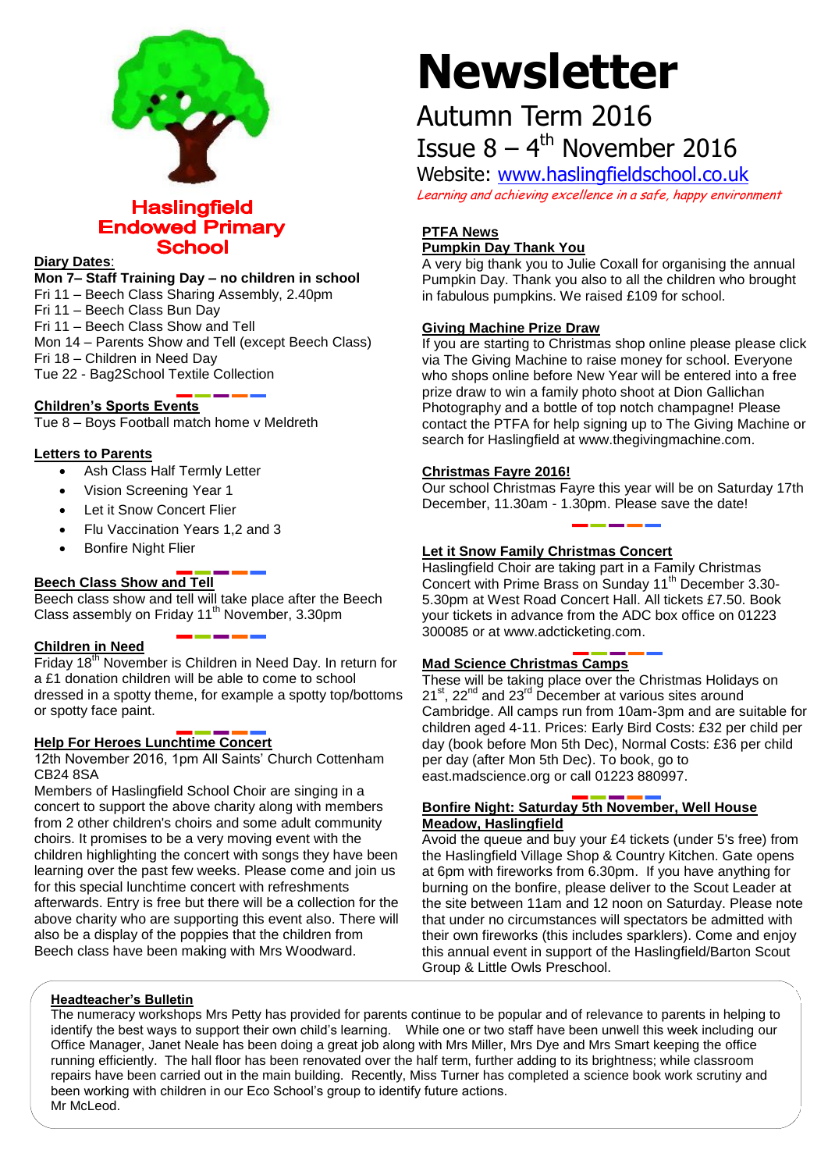

**Haslingfield Endowed Primary School** 

#### **Diary Dates**:

**Mon 7– Staff Training Day – no children in school**

Fri 11 – Beech Class Sharing Assembly, 2.40pm

Fri 11 – Beech Class Bun Day

Fri 11 – Beech Class Show and Tell

Mon 14 – Parents Show and Tell (except Beech Class)

Fri 18 – Children in Need Day

Tue 22 - Bag2School Textile Collection

## **Children's Sports Events**

Tue 8 – Boys Football match home v Meldreth

#### **Letters to Parents**

- Ash Class Half Termly Letter
- Vision Screening Year 1
- Let it Snow Concert Flier
- Flu Vaccination Years 1.2 and 3
- Bonfire Night Flier

## **Beech Class Show and Tell**

Beech class show and tell will take place after the Beech Class assembly on Friday  $11<sup>th</sup>$  November, 3.30pm

#### **Children in Need**

Friday 18<sup>th</sup> November is Children in Need Day. In return for a £1 donation children will be able to come to school dressed in a spotty theme, for example a spotty top/bottoms or spotty face paint.

#### **Help For Heroes Lunchtime Concert**

12th November 2016, 1pm All Saints' Church Cottenham CB24 8SA

Members of Haslingfield School Choir are singing in a concert to support the above charity along with members from 2 other children's choirs and some adult community choirs. It promises to be a very moving event with the children highlighting the concert with songs they have been learning over the past few weeks. Please come and join us for this special lunchtime concert with refreshments afterwards. Entry is free but there will be a collection for the above charity who are supporting this event also. There will also be a display of the poppies that the children from Beech class have been making with Mrs Woodward.

# **Newsletter**

## Autumn Term 2016 Issue  $8 - 4$ <sup>th</sup> November 2016

Website: [www.haslingfieldschool.co.uk](http://www.haslingfieldschool.co.uk/) Learning and achieving excellence in a safe, happy environment

## **PTFA News Pumpkin Day Thank You**

A very big thank you to Julie Coxall for organising the annual Pumpkin Day. Thank you also to all the children who brought in fabulous pumpkins. We raised £109 for school.

#### **Giving Machine Prize Draw**

If you are starting to Christmas shop online please please click via The Giving Machine to raise money for school. Everyone who shops online before New Year will be entered into a free prize draw to win a family photo shoot at Dion Gallichan Photography and a bottle of top notch champagne! Please contact the PTFA for help signing up to The Giving Machine or search for Haslingfield at www.thegivingmachine.com.

## **Christmas Fayre 2016!**

Our school Christmas Fayre this year will be on Saturday 17th December, 11.30am - 1.30pm. Please save the date!

## **Let it Snow Family Christmas Concert**

Haslingfield Choir are taking part in a Family Christmas Concert with Prime Brass on Sunday 11<sup>th</sup> December 3.30-5.30pm at West Road Concert Hall. All tickets £7.50. Book your tickets in advance from the ADC box office on 01223 300085 or at www.adcticketing.com.

## **Mad Science Christmas Camps**

These will be taking place over the Christmas Holidays on  $21^{st}$ ,  $22^{nd}$  and  $23^{rd}$  December at various sites around Cambridge. All camps run from 10am-3pm and are suitable for children aged 4-11. Prices: Early Bird Costs: £32 per child per day (book before Mon 5th Dec), Normal Costs: £36 per child per day (after Mon 5th Dec). To book, go to east.madscience.org or call 01223 880997.

#### **Bonfire Night: Saturday 5th November, Well House Meadow, Haslingfield**

Avoid the queue and buy your £4 tickets (under 5's free) from the Haslingfield Village Shop & Country Kitchen. Gate opens at 6pm with fireworks from 6.30pm. If you have anything for burning on the bonfire, please deliver to the Scout Leader at the site between 11am and 12 noon on Saturday. Please note that under no circumstances will spectators be admitted with their own fireworks (this includes sparklers). Come and enjoy this annual event in support of the Haslingfield/Barton Scout Group & Little Owls Preschool.

#### **Headteacher's Bulletin**

The numeracy workshops Mrs Petty has provided for parents continue to be popular and of relevance to parents in helping to identify the best ways to support their own child's learning. While one or two staff have been unwell this week including our Office Manager, Janet Neale has been doing a great job along with Mrs Miller, Mrs Dye and Mrs Smart keeping the office running efficiently. The hall floor has been renovated over the half term, further adding to its brightness; while classroom repairs have been carried out in the main building. Recently, Miss Turner has completed a science book work scrutiny and been working with children in our Eco School's group to identify future actions. Mr McLeod.